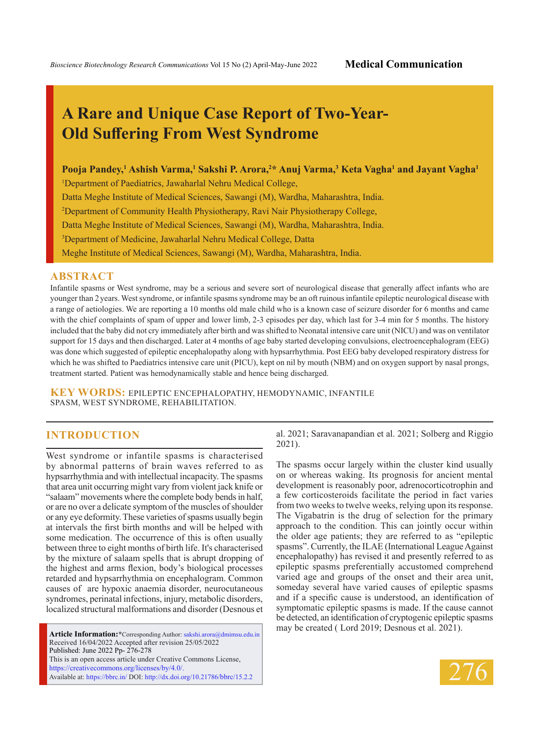# **A Rare and Unique Case Report of Two-Year-Old Suffering From West Syndrome**

**Pooja Pandey,<sup>1</sup> Ashish Varma,<sup>1</sup> Sakshi P. Arora,<sup>2</sup> \* Anuj Varma,<sup>3</sup> Keta Vagha<sup>1</sup> and Jayant Vagha<sup>1</sup>**

1 Department of Paediatrics, Jawaharlal Nehru Medical College,

Datta Meghe Institute of Medical Sciences, Sawangi (M), Wardha, Maharashtra, India.

2 Department of Community Health Physiotherapy, Ravi Nair Physiotherapy College,

Datta Meghe Institute of Medical Sciences, Sawangi (M), Wardha, Maharashtra, India.

3 Department of Medicine, Jawaharlal Nehru Medical College, Datta

Meghe Institute of Medical Sciences, Sawangi (M), Wardha, Maharashtra, India.

#### **ABSTRACT**

Infantile spasms or West syndrome, may be a serious and severe sort of neurological disease that generally affect infants who are younger than 2years. West syndrome, or infantile spasms syndrome may be an oft ruinous infantile epileptic neurological disease with a range of aetiologies. We are reporting a 10 months old male child who is a known case of seizure disorder for 6 months and came with the chief complaints of spam of upper and lower limb, 2-3 episodes per day, which last for 3-4 min for 5 months. The history included that the baby did not cry immediately after birth and was shifted to Neonatal intensive care unit (NICU) and was on ventilator support for 15 days and then discharged. Later at 4 months of age baby started developing convulsions, electroencephalogram (EEG) was done which suggested of epileptic encephalopathy along with hypsarrhythmia. Post EEG baby developed respiratory distress for which he was shifted to Paediatrics intensive care unit (PICU), kept on nil by mouth (NBM) and on oxygen support by nasal prongs, treatment started. Patient was hemodynamically stable and hence being discharged.

**KEY WORDS:** Epileptic encephalopathy, Hemodynamic, Infantile spasm, West syndrome, Rehabilitation.

## **INTRODUCTION**

West syndrome or infantile spasms is characterised by abnormal patterns of brain waves referred to as hypsarrhythmia and with intellectual incapacity. The spasms that area unit occurring might vary from violent jack knife or "salaam" movements where the complete body bends in half, or are no over a delicate symptom of the muscles of shoulder or any eye deformity. These varieties of spasms usually begin at intervals the first birth months and will be helped with some medication. The occurrence of this is often usually between three to eight months of birth life. It's characterised by the mixture of salaam spells that is abrupt dropping of the highest and arms flexion, body's biological processes retarded and hypsarrhythmia on encephalogram. Common causes of are hypoxic anaemia disorder, neurocutaneous syndromes, perinatal infections, injury, metabolic disorders, localized structural malformations and disorder (Desnous et

**Article Information:\***Corresponding Author: sakshi.arora@dmimsu.edu.in Received 16/04/2022 Accepted after revision 25/05/2022 Published: June 2022 Pp- 276-278 This is an open access article under Creative Commons License, https://creativecommons.org/licenses/by/4.0/. Available at: https://bbrc.in/ DOI: http://dx.doi.org/10.21786/bbrc/15.2.2

al. 2021; Saravanapandian et al. 2021; Solberg and Riggio 2021).

The spasms occur largely within the cluster kind usually on or whereas waking. Its prognosis for ancient mental development is reasonably poor, adrenocorticotrophin and a few corticosteroids facilitate the period in fact varies from two weeks to twelve weeks, relying upon its response. The Vigabatrin is the drug of selection for the primary approach to the condition. This can jointly occur within the older age patients; they are referred to as "epileptic spasms". Currently, the ILAE (International League Against encephalopathy) has revised it and presently referred to as epileptic spasms preferentially accustomed comprehend varied age and groups of the onset and their area unit, someday several have varied causes of epileptic spasms and if a specific cause is understood, an identification of symptomatic epileptic spasms is made. If the cause cannot be detected, an identification of cryptogenic epileptic spasms may be created ( Lord 2019; Desnous et al. 2021).

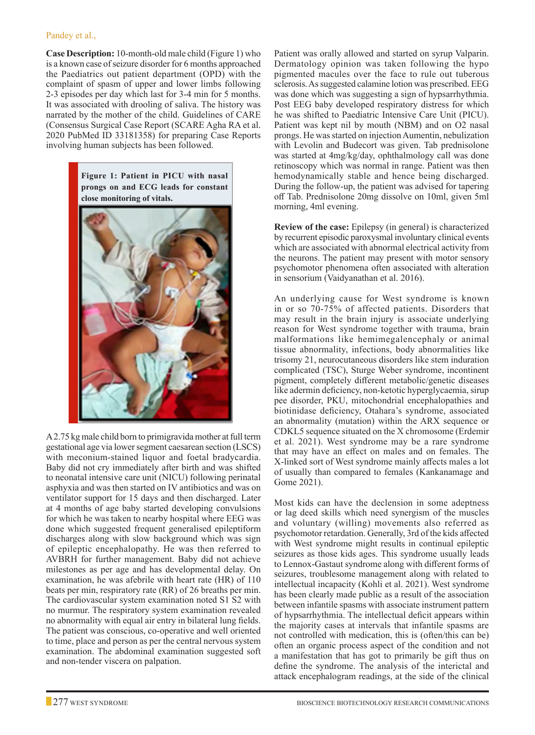#### Pandey et al.,

**Case Description:** 10-month-old male child (Figure 1) who is a known case of seizure disorder for 6 months approached the Paediatrics out patient department (OPD) with the complaint of spasm of upper and lower limbs following 2-3 episodes per day which last for 3-4 min for 5 months. It was associated with drooling of saliva. The history was narrated by the mother of the child. Guidelines of CARE (Consensus Surgical Case Report (SCARE Agha RA et al. 2020 PubMed ID 33181358) for preparing Case Reports involving human subjects has been followed.

> **Figure 1: Patient in PICU with nasal prongs on and ECG leads for constant close monitoring of vitals.**



A 2.75 kg male child born to primigravida mother at full term gestational age via lower segment caesarean section (LSCS) with meconium-stained liquor and foetal bradycardia. Baby did not cry immediately after birth and was shifted to neonatal intensive care unit (NICU) following perinatal asphyxia and was then started on IV antibiotics and was on ventilator support for 15 days and then discharged. Later at 4 months of age baby started developing convulsions for which he was taken to nearby hospital where EEG was done which suggested frequent generalised epileptiform discharges along with slow background which was sign of epileptic encephalopathy. He was then referred to AVBRH for further management. Baby did not achieve milestones as per age and has developmental delay. On examination, he was afebrile with heart rate (HR) of 110 beats per min, respiratory rate (RR) of 26 breaths per min. The cardiovascular system examination noted S1 S2 with no murmur. The respiratory system examination revealed no abnormality with equal air entry in bilateral lung fields. The patient was conscious, co-operative and well oriented to time, place and person as per the central nervous system examination. The abdominal examination suggested soft and non-tender viscera on palpation.

Patient was orally allowed and started on syrup Valparin. Dermatology opinion was taken following the hypo pigmented macules over the face to rule out tuberous sclerosis. As suggested calamine lotion was prescribed. EEG was done which was suggesting a sign of hypsarrhythmia. Post EEG baby developed respiratory distress for which he was shifted to Paediatric Intensive Care Unit (PICU). Patient was kept nil by mouth (NBM) and on O2 nasal prongs. He was started on injection Aumentin, nebulization with Levolin and Budecort was given. Tab prednisolone was started at 4mg/kg/day, ophthalmology call was done retinoscopy which was normal in range. Patient was then hemodynamically stable and hence being discharged. During the follow-up, the patient was advised for tapering off Tab. Prednisolone 20mg dissolve on 10ml, given 5ml morning, 4ml evening.

**Review of the case:** Epilepsy (in general) is characterized by recurrent episodic paroxysmal involuntary clinical events which are associated with abnormal electrical activity from the neurons. The patient may present with motor sensory psychomotor phenomena often associated with alteration in sensorium (Vaidyanathan et al. 2016).

An underlying cause for West syndrome is known in or so 70-75% of affected patients. Disorders that may result in the brain injury is associate underlying reason for West syndrome together with trauma, brain malformations like hemimegalencephaly or animal tissue abnormality, infections, body abnormalities like trisomy 21, neurocutaneous disorders like stem induration complicated (TSC), Sturge Weber syndrome, incontinent pigment, completely different metabolic/genetic diseases like adermin deficiency, non-ketotic hyperglycaemia, sirup pee disorder, PKU, mitochondrial encephalopathies and biotinidase deficiency, Otahara's syndrome, associated an abnormality (mutation) within the ARX sequence or CDKL5 sequence situated on the X chromosome (Erdemir et al. 2021). West syndrome may be a rare syndrome that may have an effect on males and on females. The X-linked sort of West syndrome mainly affects males a lot of usually than compared to females (Kankanamage and Gome 2021).

Most kids can have the declension in some adeptness or lag deed skills which need synergism of the muscles and voluntary (willing) movements also referred as psychomotor retardation. Generally, 3rd of the kids affected with West syndrome might results in continual epileptic seizures as those kids ages. This syndrome usually leads to Lennox-Gastaut syndrome along with different forms of seizures, troublesome management along with related to intellectual incapacity (Kohli et al. 2021). West syndrome has been clearly made public as a result of the association between infantile spasms with associate instrument pattern of hypsarrhythmia. The intellectual deficit appears within the majority cases at intervals that infantile spasms are not controlled with medication, this is (often/this can be) often an organic process aspect of the condition and not a manifestation that has got to primarily be gift thus on define the syndrome. The analysis of the interictal and attack encephalogram readings, at the side of the clinical